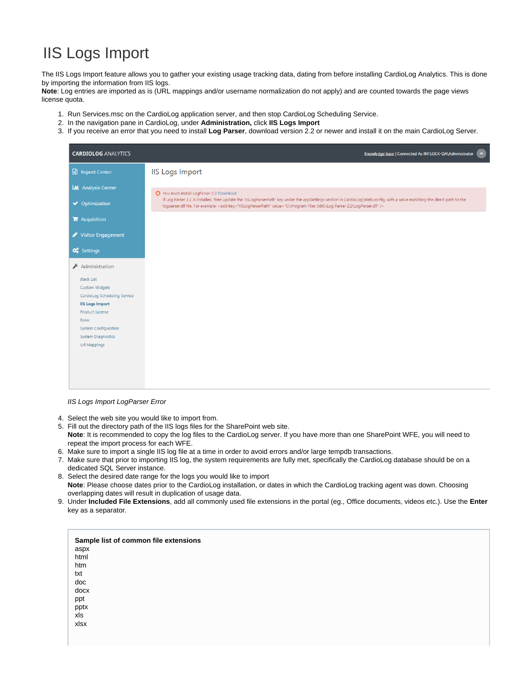## IIS Logs Import

The IIS Logs Import feature allows you to gather your existing usage tracking data, dating from before installing CardioLog Analytics. This is done by importing the information from IIS logs.

**Note**: Log entries are imported as is (URL mappings and/or username normalization do not apply) and are counted towards the page views license quota.

- 1. Run Services.msc on the CardioLog application server, and then stop CardioLog Scheduling Service.
- 2. In the navigation pane in CardioLog, under **Administration,** click **IIS Logs Import**
- 3. If you receive an error that you need to install **Log Parser**, download version 2.2 or newer and install it on the main CardioLog Server.

| <b>CARDIOLOG ANALYTICS</b>                                                                                                                                                                                                                                       | Knowledge base   Connected As INTLOCK-QA\Administrator   ^                                                                                                                                                                                                                                                    |
|------------------------------------------------------------------------------------------------------------------------------------------------------------------------------------------------------------------------------------------------------------------|---------------------------------------------------------------------------------------------------------------------------------------------------------------------------------------------------------------------------------------------------------------------------------------------------------------|
| Report Center                                                                                                                                                                                                                                                    | <b>IIS Logs Import</b>                                                                                                                                                                                                                                                                                        |
| <b>ILL</b> Analysis Center                                                                                                                                                                                                                                       | You must install LogParser 2.2 Download                                                                                                                                                                                                                                                                       |
| ◆ Optimization                                                                                                                                                                                                                                                   | If Log Parser 2.2 is installed, then update the 'IISLogParserPath' key under the appSettings section in CardioLog\Web.config, with a value matching the direct path to the<br>logparser.dll file. For example: <add key="IISLogParserPath" value="C:\Program Files (x86)\Log Parser 2.2\LogParser.dll"></add> |
| $\mathbf{F}$ Acquisition                                                                                                                                                                                                                                         |                                                                                                                                                                                                                                                                                                               |
| Visitor Engagement                                                                                                                                                                                                                                               |                                                                                                                                                                                                                                                                                                               |
| <b>Q</b> <sup>8</sup> Settings<br>Administration<br><b>Black List</b><br><b>Custom Widgets</b><br>CardioLog Scheduling Service<br><b>IIS Logs Import</b><br>Product License<br>Roles<br><b>System Configuration</b><br><b>System Diagnostics</b><br>Url Mappings |                                                                                                                                                                                                                                                                                                               |

IIS Logs Import LogParser Error

- 4. Select the web site you would like to import from.
- 5. Fill out the directory path of the IIS logs files for the SharePoint web site. **Note**: It is recommended to copy the log files to the CardioLog server. If you have more than one SharePoint WFE, you will need to repeat the import process for each WFE.
- 6. Make sure to import a single IIS log file at a time in order to avoid errors and/or large tempdb transactions.
- 7. Make sure that prior to importing IIS log, the system requirements are fully met, specifically the CardioLog database should be on a dedicated SQL Server instance.
- 8. Select the desired date range for the logs you would like to import **Note**: Please choose dates prior to the CardioLog installation, or dates in which the CardioLog tracking agent was down. Choosing overlapping dates will result in duplication of usage data.
- 9. Under **Included File Extensions**, add all commonly used file extensions in the portal (eg., Office documents, videos etc.). Use the **Enter** key as a separator.

| Sample list of common file extensions |  |  |
|---------------------------------------|--|--|
| aspx                                  |  |  |
| html                                  |  |  |
| htm                                   |  |  |
| txt                                   |  |  |
| doc                                   |  |  |
| docx                                  |  |  |
| ppt                                   |  |  |
| pptx                                  |  |  |
| xls                                   |  |  |
| xlsx                                  |  |  |
|                                       |  |  |
|                                       |  |  |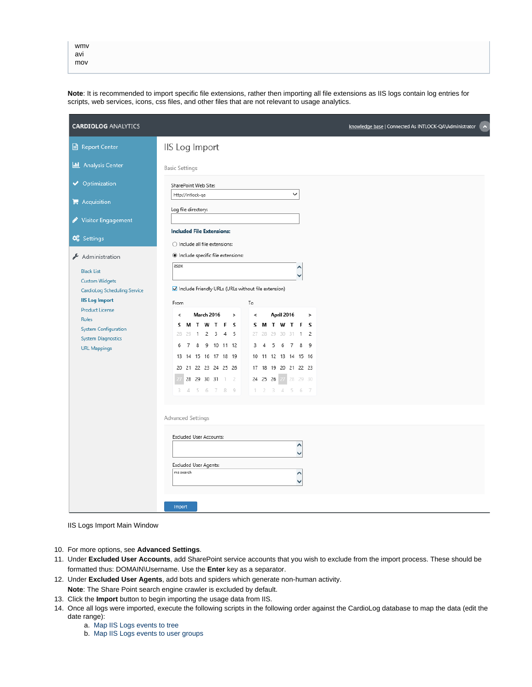| wmv |  |
|-----|--|
| avi |  |
| mov |  |

**Note**: It is recommended to import specific file extensions, rather then importing all file extensions as IIS logs contain log entries for scripts, web services, icons, css files, and other files that are not relevant to usage analytics.

| <b>CARDIOLOG ANALYTICS</b>                                                            |                                                                                                                                         | knowledge base   Connected As INTLOCK-QA\Administrator<br>$\hat{\phantom{a}}$ |
|---------------------------------------------------------------------------------------|-----------------------------------------------------------------------------------------------------------------------------------------|-------------------------------------------------------------------------------|
| Report Center                                                                         | IIS Log Import                                                                                                                          |                                                                               |
| <b>II</b> Analysis Center                                                             | <b>Basic Settings</b>                                                                                                                   |                                                                               |
| ◆ Optimization<br>$\mathbb{R}$ Acquisition                                            | SharePoint Web Site:<br>$\checkmark$<br>http://intlock-qa                                                                               |                                                                               |
| <b>Visitor Engagement</b>                                                             | Log file directory:                                                                                                                     |                                                                               |
| <b>C</b> Settings                                                                     | <b>Included File Extensions:</b><br>$\bigcirc$ Include all file extensions:                                                             |                                                                               |
| Administration<br><b>Black List</b>                                                   | · Include specific file extensions:<br>aspx                                                                                             |                                                                               |
| <b>Custom Widgets</b><br><b>CardioLog Scheduling Service</b><br><b>IIS Log Import</b> | Include Friendly URLs (URLs without file extension)                                                                                     |                                                                               |
| <b>Product License</b><br>Roles<br>System Configuration                               | To<br>From<br>April 2016<br><b>March 2016</b><br>$\,<$<br>$\mathbf{v}$<br>$\,<$<br>$\,$<br><b>SMTWTFS</b><br><b>MTWTFS</b><br>S.        |                                                                               |
| <b>System Diagnostics</b><br><b>URL Mappings</b>                                      | $\overline{2}$<br>3 4 5<br>27<br>28 29 30 31 1 2<br>28<br>29<br>$\mathbf{1}$<br>8 9 10 11 12<br>5 6 7 8 9<br>6<br>7<br>3 <sub>4</sub>   |                                                                               |
|                                                                                       | 13 14 15 16 17 18 19<br>10 11 12 13 14 15 16<br>20 21 22 23 24 25 26<br>17 18 19 20 21 22 23<br>28 29 30 31 1 2<br>24 25 26 27 28 29 30 |                                                                               |
|                                                                                       | 3 4 5 6 7 8 9<br>$2$ $3$ $4$ $5$ $6$ $7$<br>$\top$                                                                                      |                                                                               |
|                                                                                       | Advanced Settings                                                                                                                       |                                                                               |
|                                                                                       | <b>Excluded User Accounts:</b><br>∧                                                                                                     |                                                                               |
|                                                                                       | Excluded User Agents:<br>ms search<br>$\wedge$                                                                                          |                                                                               |
|                                                                                       | Import                                                                                                                                  |                                                                               |

IIS Logs Import Main Window

- 10. For more options, see **Advanced Settings**.
- 11. Under **Excluded User Accounts**, add SharePoint service accounts that you wish to exclude from the import process. These should be formatted thus: DOMAIN\Username. Use the **Enter** key as a separator.
- 12. Under **Excluded User Agents**, add bots and spiders which generate non-human activity.

**Note**: The Share Point search engine crawler is excluded by default.

- 13. Click the **Import** button to begin importing the usage data from IIS.
- 14. Once all logs were imported, execute the following scripts in the following order against the CardioLog database to map the data (edit the date range):
	- a. [Map IIS Logs events to tree](https://www.intlock.com/intlocksite/Downloads/scripts/fix_iis_logs_import_events.txt)
	- b. [Map IIS Logs events to user groups](https://www.intlock.com/intlocksite/Downloads/scripts/init_flyweights_user_groups.txt)